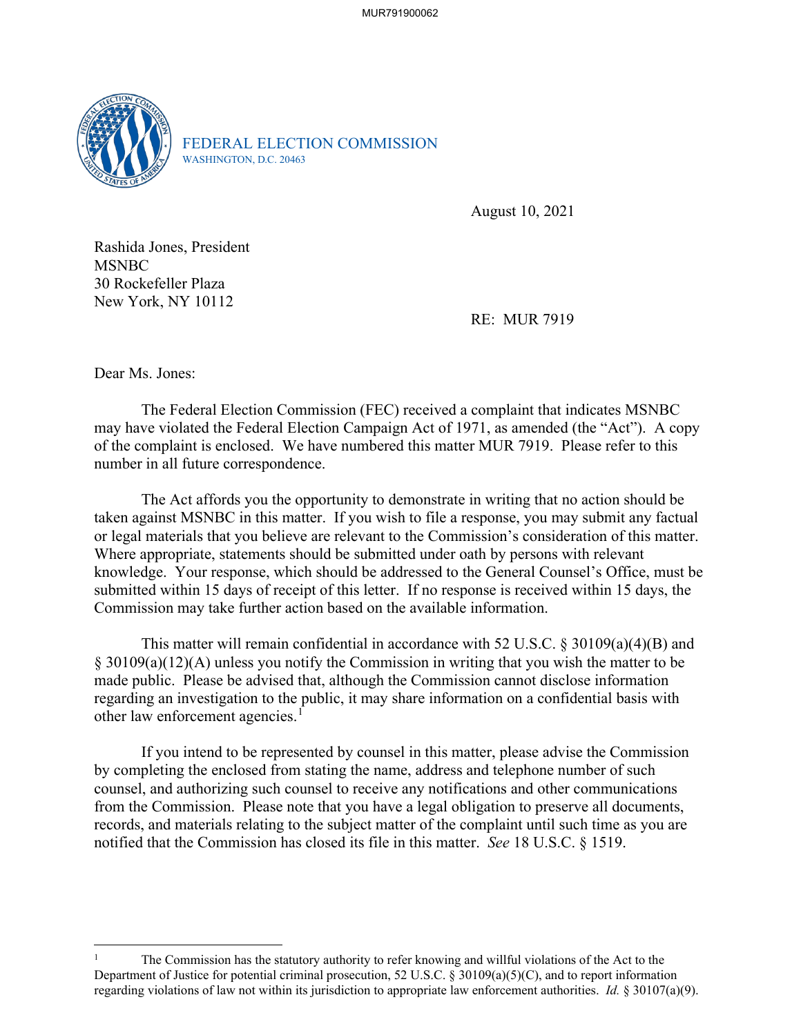

FEDERAL ELECTION COMMISSION WASHINGTON, D.C. 20463

August 10, 2021

Rashida Jones, President **MSNBC** 30 Rockefeller Plaza New York, NY 10112

RE: MUR 7919

Dear Ms. Jones:

The Federal Election Commission (FEC) received a complaint that indicates MSNBC may have violated the Federal Election Campaign Act of 1971, as amended (the "Act"). A copy of the complaint is enclosed. We have numbered this matter MUR 7919. Please refer to this number in all future correspondence.

 The Act affords you the opportunity to demonstrate in writing that no action should be taken against MSNBC in this matter. If you wish to file a response, you may submit any factual or legal materials that you believe are relevant to the Commission's consideration of this matter. Where appropriate, statements should be submitted under oath by persons with relevant knowledge. Your response, which should be addressed to the General Counsel's Office, must be submitted within 15 days of receipt of this letter. If no response is received within 15 days, the Commission may take further action based on the available information.

This matter will remain confidential in accordance with 52 U.S.C. § 30109(a)(4)(B) and § 30109(a)(12)(A) unless you notify the Commission in writing that you wish the matter to be made public. Please be advised that, although the Commission cannot disclose information regarding an investigation to the public, it may share information on a confidential basis with other law enforcement agencies.<sup>1</sup>

If you intend to be represented by counsel in this matter, please advise the Commission by completing the enclosed from stating the name, address and telephone number of such counsel, and authorizing such counsel to receive any notifications and other communications from the Commission. Please note that you have a legal obligation to preserve all documents, records, and materials relating to the subject matter of the complaint until such time as you are notified that the Commission has closed its file in this matter. *See* 18 U.S.C. § 1519.

<sup>1</sup> The Commission has the statutory authority to refer knowing and willful violations of the Act to the Department of Justice for potential criminal prosecution, 52 U.S.C. § 30109(a)(5)(C), and to report information regarding violations of law not within its jurisdiction to appropriate law enforcement authorities. *Id.* § 30107(a)(9).